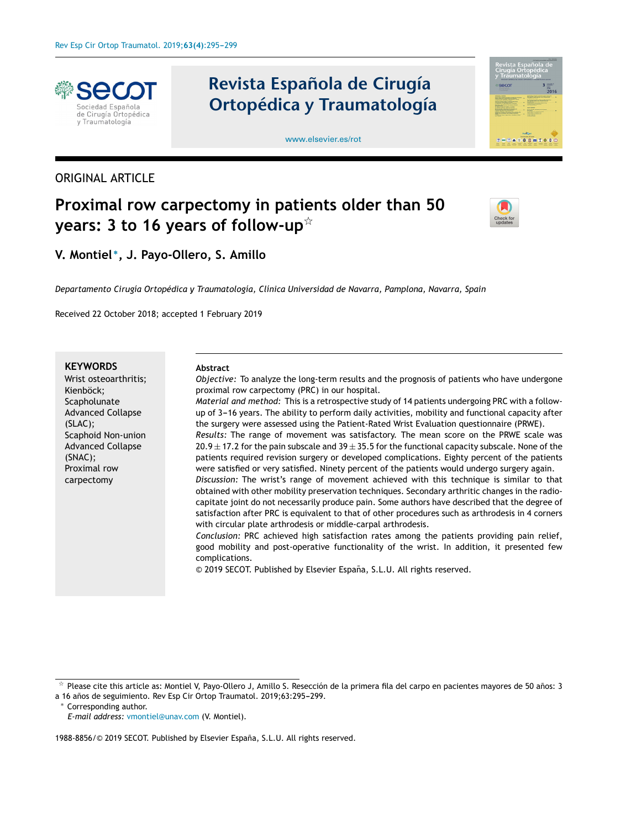

# ORIGINAL ARTICLE

# **Revista Española de Cirugía Ortopédica y Traumatología**





# **Proximal row carpectomy in patients older than 50 years: 3 to 16 years of follow-up**-



**V. Montiel** <sup>∗</sup> **, J. Payo-Ollero, S. Amillo**

*Departamento Cirugía Ortopédica y Traumatología, Clínica Universidad de Navarra, Pamplona, Navarra, Spain*

Received 22 October 2018; accepted 1 February 2019

#### **KEYWORDS**

Wrist osteoarthritis; Kienböck; **Scapholunate** Advanced Collapse (SLAC); Scaphoid Non-union Advanced Collapse (SNAC); Proximal row carpectomy

#### **Abstract**

*Objective:* To analyze the long-term results and the prognosis of patients who have undergone proximal row carpectomy (PRC) in our hospital.

*Material and method:* This is a retrospective study of 14 patients undergoing PRC with a followup of 3-16 years. The ability to perform daily activities, mobility and functional capacity after the surgery were assessed using the Patient-Rated Wrist Evaluation questionnaire (PRWE).

*Results:* The range of movement was satisfactory. The mean score on the PRWE scale was  $20.9 \pm 17.2$  for the pain subscale and 39  $\pm$  35.5 for the functional capacity subscale. None of the patients required revision surgery or developed complications. Eighty percent of the patients were satisfied or very satisfied. Ninety percent of the patients would undergo surgery again.

*Discussion:* The wrist's range of movement achieved with this technique is similar to that obtained with other mobility preservation techniques. Secondary arthritic changes in the radiocapitate joint do not necessarily produce pain. Some authors have described that the degree of satisfaction after PRC is equivalent to that of other procedures such as arthrodesis in 4 corners with circular plate arthrodesis or middle-carpal arthrodesis.

*Conclusion:* PRC achieved high satisfaction rates among the patients providing pain relief, good mobility and post-operative functionality of the wrist. In addition, it presented few complications.

© 2019 SECOT. Published by Elsevier España, S.L.U. All rights reserved.

Corresponding author.

*E-mail address:* [vmontiel@unav.com](mailto:vmontiel@unav.com) (V. Montiel).

1988-8856/© 2019 SECOT. Published by Elsevier España, S.L.U. All rights reserved.

 $\frac{1}{24}$ Please cite this article as: Montiel V, Payo-Ollero J, Amillo S. Resección de la primera fila del carpo en pacientes mayores de 50 años: 3 a 16 años de seguimiento. Rev Esp Cir Ortop Traumatol. 2019;63:295-299.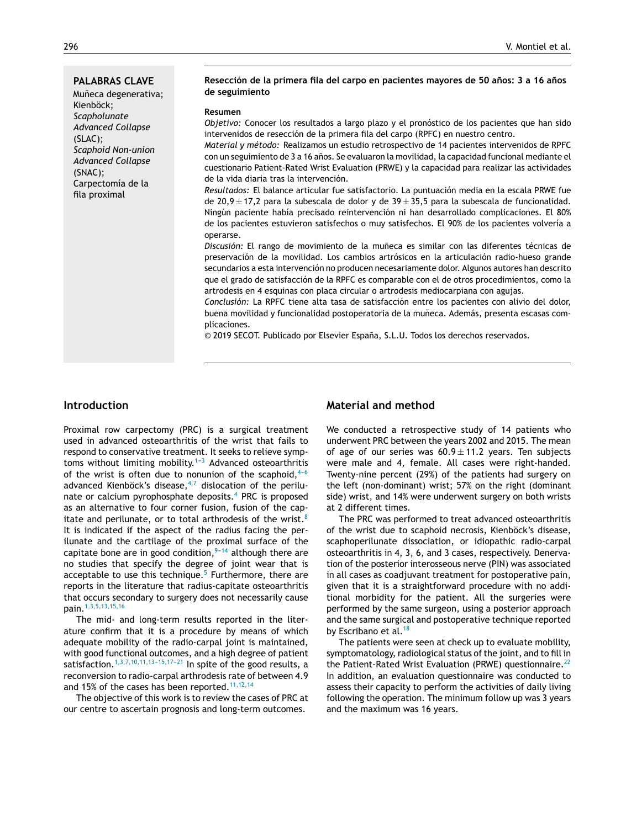#### **PALABRAS CLAVE**

Muñeca degenerativa; Kienböck; *Scapholunate Advanced Collapse* (SLAC); *Scaphoid Non-union Advanced Collapse* (SNAC); Carpectomía de la fila proximal

#### **Resección de la primera fila del carpo en pacientes mayores de 50 anos: ˜ 3 a 16 anos ˜ de seguimiento**

#### **Resumen**

*Objetivo:* Conocer los resultados a largo plazo y el pronóstico de los pacientes que han sido intervenidos de resección de la primera fila del carpo (RPFC) en nuestro centro.

*Material y método:* Realizamos un estudio retrospectivo de 14 pacientes intervenidos de RPFC con un seguimiento de 3 a 16 años. Se evaluaron la movilidad, la capacidad funcional mediante el cuestionario Patient-Rated Wrist Evaluation (PRWE) y la capacidad para realizar las actividades de la vida diaria tras la intervención.

*Resultados:* El balance articular fue satisfactorio. La puntuación media en la escala PRWE fue de 20,9  $\pm$  17,2 para la subescala de dolor y de 39 $\pm$ 35,5 para la subescala de funcionalidad. Ningún paciente había precisado reintervención ni han desarrollado complicaciones. El 80% de los pacientes estuvieron satisfechos o muy satisfechos. El 90% de los pacientes volvería a operarse.

Discusión: El rango de movimiento de la muñeca es similar con las diferentes técnicas de preservación de la movilidad. Los cambios artrósicos en la articulación radio-hueso grande secundarios a esta intervención no producen necesariamente dolor. Algunos autores han descrito que el grado de satisfacción de la RPFC es comparable con el de otros procedimientos, como la artrodesis en 4 esquinas con placa circular o artrodesis mediocarpiana con agujas.

*Conclusión:* La RPFC tiene alta tasa de satisfacción entre los pacientes con alivio del dolor, buena movilidad y funcionalidad postoperatoria de la muñeca. Además, presenta escasas complicaciones.

© 2019 SECOT. Publicado por Elsevier España, S.L.U. Todos los derechos reservados.

# **Introduction**

Proximal row carpectomy (PRC) is a surgical treatment used in advanced osteoarthritis of the wrist that fails to respond to conservative treatment. It seeks to relieve symptoms without limiting mobility.<sup>1-3</sup> Advanced osteoarthritis of the wrist is often due to nonunion of the scaphoid, $4-6$ advanced Kienböck's disease, $4,7$  dislocation of the perilunate or calcium pyrophosphate deposits. $4$  PRC is proposed as an alternative to four corner fusion, fusion of the cap-itate and perilunate, or to total arthrodesis of the wrist.<sup>[8](#page-4-0)</sup> It is indicated if the aspect of the radius facing the perilunate and the cartilage of the proximal surface of the capitate bone are in good condition,  $9-14$  although there are no studies that specify the degree of joint wear that is acceptable to use this technique. $5$  Furthermore, there are reports in the literature that radius-capitate osteoarthritis that occurs secondary to surgery does not necessarily cause pain.[1,3,5,13,15,16](#page-3-0)

The mid- and long-term results reported in the literature confirm that it is a procedure by means of which adequate mobility of the radio-carpal joint is maintained, with good functional outcomes, and a high degree of patient satisfaction.<sup>1,3,7,10,11,13-15,17-21</sup> In spite of the good results, a reconversion to radio-carpal arthrodesis rate of between 4.9 and 15% of the cases has been reported.<sup>[11,12,14](#page-4-0)</sup>

The objective of this work is to review the cases of PRC at our centre to ascertain prognosis and long-term outcomes.

# **Material and method**

We conducted a retrospective study of 14 patients who underwent PRC between the years 2002 and 2015. The mean of age of our series was  $60.9 \pm 11.2$  years. Ten subjects were male and 4, female. All cases were right-handed. Twenty-nine percent (29%) of the patients had surgery on the left (non-dominant) wrist; 57% on the right (dominant side) wrist, and 14% were underwent surgery on both wrists at 2 different times.

The PRC was performed to treat advanced osteoarthritis of the wrist due to scaphoid necrosis, Kienböck's disease, scaphoperilunate dissociation, or idiopathic radio-carpal osteoarthritis in 4, 3, 6, and 3 cases, respectively. Denervation of the posterior interosseous nerve (PIN) was associated in all cases as coadjuvant treatment for postoperative pain, given that it is a straightforward procedure with no additional morbidity for the patient. All the surgeries were performed by the same surgeon, using a posterior approach and the same surgical and postoperative technique reported by Escribano et al.<sup>[18](#page-4-0)</sup>

The patients were seen at check up to evaluate mobility, symptomatology, radiological status of the joint, and to fill in the Patient-Rated Wrist Evaluation (PRWE) questionnaire.<sup>[22](#page-4-0)</sup> In addition, an evaluation questionnaire was conducted to assess their capacity to perform the activities of daily living following the operation. The minimum follow up was 3 years and the maximum was 16 years.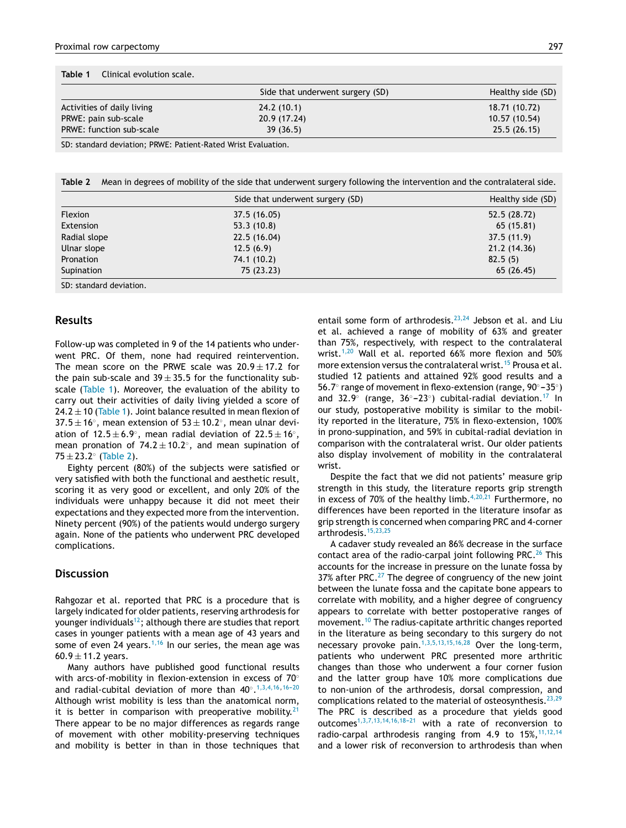|                            | Side that underwent surgery (SD) | Healthy side (SD) |
|----------------------------|----------------------------------|-------------------|
| Activities of daily living | 24.2(10.1)                       | 18.71 (10.72)     |
| PRWE: pain sub-scale       | 20.9 (17.24)                     | 10.57 (10.54)     |
| PRWE: function sub-scale   | 39(36.5)                         | 25.5(26.15)       |

SD: standard deviation; PRWE: Patient-Rated Wrist Evaluation.

**Table 2** Mean in degrees of mobility of the side that underwent surgery following the intervention and the contralateral side.

|                         | Side that underwent surgery (SD) | Healthy side (SD) |
|-------------------------|----------------------------------|-------------------|
| <b>Flexion</b>          | 37.5 (16.05)                     | 52.5 (28.72)      |
| Extension               | 53.3(10.8)                       | 65 (15.81)        |
| Radial slope            | 22.5 (16.04)                     | 37.5(11.9)        |
| Ulnar slope             | 12.5(6.9)                        | 21.2 (14.36)      |
| Pronation               | 74.1 (10.2)                      | 82.5(5)           |
| Supination              | 75 (23.23)                       | 65(26.45)         |
| SD: standard deviation. |                                  |                   |

# **Results**

Follow-up was completed in 9 of the 14 patients who underwent PRC. Of them, none had required reintervention. The mean score on the PRWE scale was  $20.9 \pm 17.2$  for the pain sub-scale and  $39 \pm 35.5$  for the functionality subscale (Table 1). Moreover, the evaluation of the ability to carry out their activities of daily living yielded a score of  $24.2 \pm 10$  (Table 1). Joint balance resulted in mean flexion of  $37.5 \pm 16^{\circ}$ , mean extension of  $53 \pm 10.2^{\circ}$ , mean ulnar deviation of 12.5 $\pm$ 6.9 $^{\circ}$ , mean radial deviation of 22.5 $\pm$ 16 $^{\circ}$ , mean pronation of  $74.2 \pm 10.2^\circ$ , and mean supination of  $75 \pm 23.2^{\circ}$  (Table 2).

Eighty percent (80%) of the subjects were satisfied or very satisfied with both the functional and aesthetic result, scoring it as very good or excellent, and only 20% of the individuals were unhappy because it did not meet their expectations and they expected more from the intervention. Ninety percent (90%) of the patients would undergo surgery again. None of the patients who underwent PRC developed complications.

### **Discussion**

Rahgozar et al. reported that PRC is a procedure that is largely indicated for older patients, reserving arthrodesis for younger individuals<sup>[12](#page-4-0)</sup>; although there are studies that report cases in younger patients with a mean age of 43 years and some of even 24 years.<sup>[1,16](#page-3-0)</sup> In our series, the mean age was 60.9  $\pm$  11.2 years.

Many authors have published good functional results with arcs-of-mobility in flexion-extension in excess of 70° and radial-cubital deviation of more than  $40^{\circ}.^{1,3,4,16,16-20}$  $40^{\circ}.^{1,3,4,16,16-20}$  $40^{\circ}.^{1,3,4,16,16-20}$ Although wrist mobility is less than the anatomical norm, it is better in comparison with preoperative mobility.<sup>[21](#page-4-0)</sup> There appear to be no major differences as regards range of movement with other mobility-preserving techniques and mobility is better in than in those techniques that entail some form of arthrodesis. $23,24$  Jebson et al. and Liu et al. achieved a range of mobility of 63% and greater than 75%, respectively, with respect to the contralateral wrist.<sup>[1,20](#page-3-0)</sup> Wall et al. reported 66% more flexion and 50% more extension versus the contralateral wrist.<sup>[15](#page-4-0)</sup> Prousa et al. studied 12 patients and attained 92% good results and a 56.7° range of movement in flexo-extension (range, 90° – 35°) and  $32.9°$  (range,  $36° - 23°$ ) cubital-radial deviation.<sup>[17](#page-4-0)</sup> In our study, postoperative mobility is similar to the mobility reported in the literature, 75% in flexo-extension, 100% in prono-suppination, and 59% in cubital-radial deviation in comparison with the contralateral wrist. Our older patients also display involvement of mobility in the contralateral wrist.

Despite the fact that we did not patients' measure grip strength in this study, the literature reports grip strength in excess of 70% of the healthy limb. $4,20,21$  Furthermore, no differences have been reported in the literature insofar as grip strength is concerned when comparing PRC and 4-corner arthrodesis.[15,23,25](#page-4-0)

A cadaver study revealed an 86% decrease in the surface contact area of the radio-carpal joint following PRC. $^{26}$  $^{26}$  $^{26}$  This accounts for the increase in pressure on the lunate fossa by 37% after PRC. $^{27}$  $^{27}$  $^{27}$  The degree of congruency of the new joint between the lunate fossa and the capitate bone appears to correlate with mobility, and a higher degree of congruency appears to correlate with better postoperative ranges of movement.[10](#page-4-0) The radius-capitate arthritic changes reported in the literature as being secondary to this surgery do not necessary provoke pain.[1,3,5,13,15,16,28](#page-3-0) Over the long-term, patients who underwent PRC presented more arthritic changes than those who underwent a four corner fusion and the latter group have 10% more complications due to non-union of the arthrodesis, dorsal compression, and complications related to the material of osteosynthesis.  $23,29$ The PRC is described as a procedure that yields good outcomes<sup>1,3,7,13,14,16,18-21</sup> with a rate of reconversion to radio-carpal arthrodesis ranging from 4.9 to  $15\%, 11,12,14$  $15\%, 11,12,14$ and a lower risk of reconversion to arthrodesis than when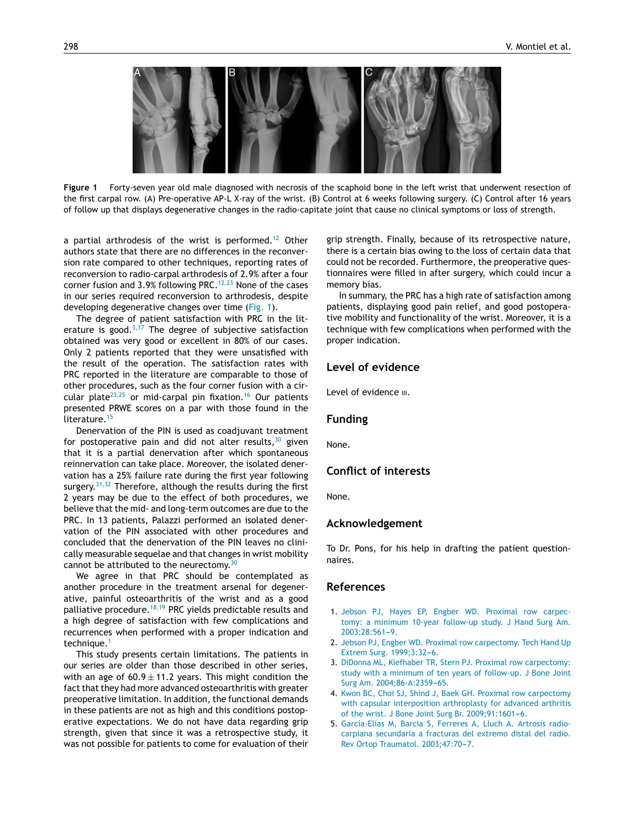<span id="page-3-0"></span>

**Figure 1** Forty-seven year old male diagnosed with necrosis of the scaphoid bone in the left wrist that underwent resection of the first carpal row. (A) Pre-operative AP-L X-ray of the wrist. (B) Control at 6 weeks following surgery. (C) Control after 16 years of follow up that displays degenerative changes in the radio-capitate joint that cause no clinical symptoms or loss of strength.

a partial arthrodesis of the wrist is performed.<sup>[12](#page-4-0)</sup> Other authors state that there are no differences in the reconversion rate compared to other techniques, reporting rates of reconversion to radio-carpal arthrodesis of 2.9% after a four corner fusion and 3.9% following PRC. $12,23$  None of the cases in our series required reconversion to arthrodesis, despite developing degenerative changes over time (Fig. 1).

The degree of patient satisfaction with PRC in the literature is good. $3,17$  The degree of subjective satisfaction obtained was very good or excellent in 80% of our cases. Only 2 patients reported that they were unsatisfied with the result of the operation. The satisfaction rates with PRC reported in the literature are comparable to those of other procedures, such as the four corner fusion with a cir-cular plate<sup>[23,25](#page-4-0)</sup> or mid-carpal pin fixation.<sup>[16](#page-4-0)</sup> Our patients presented PRWE scores on a par with those found in the literature.<sup>[15](#page-4-0)</sup>

Denervation of the PIN is used as coadjuvant treatment for postoperative pain and did not alter results, $30$  given that it is a partial denervation after which spontaneous reinnervation can take place. Moreover, the isolated denervation has a 25% failure rate during the first year following surgery. $31,32$  Therefore, although the results during the first 2 years may be due to the effect of both procedures, we believe that the mid- and long-term outcomes are due to the PRC. In 13 patients, Palazzi performed an isolated denervation of the PIN associated with other procedures and concluded that the denervation of the PIN leaves no clinically measurable sequelae and that changes in wrist mobility cannot be attributed to the neurectomy.<sup>[30](#page-4-0)</sup>

We agree in that PRC should be contemplated as another procedure in the treatment arsenal for degenerative, painful osteoarthritis of the wrist and as a good palliative procedure.<sup>[18,19](#page-4-0)</sup> PRC yields predictable results and a high degree of satisfaction with few complications and recurrences when performed with a proper indication and technique.<sup>1</sup>

This study presents certain limitations. The patients in our series are older than those described in other series, with an age of  $60.9 \pm 11.2$  years. This might condition the fact that they had more advanced osteoarthritis with greater preoperative limitation. In addition, the functional demands in these patients are not as high and this conditions postoperative expectations. We do not have data regarding grip strength, given that since it was a retrospective study, it was not possible for patients to come for evaluation of their grip strength. Finally, because of its retrospective nature, there is a certain bias owing to the loss of certain data that could not be recorded. Furthermore, the preoperative questionnaires were filled in after surgery, which could incur a memory bias.

In summary, the PRC has a high rate of satisfaction among patients, displaying good pain relief, and good postoperative mobility and functionality of the wrist. Moreover, it is a technique with few complications when performed with the proper indication.

## **Level of evidence**

Level of evidence  $III$ .

#### **Funding**

None.

# **Conflict of interests**

None.

#### **Acknowledgement**

To Dr. Pons, for his help in drafting the patient questionnaires.

#### **References**

- 1. [Jebson](http://refhub.elsevier.com/S1988-8856(19)30033-1/sbref0165) [PJ,](http://refhub.elsevier.com/S1988-8856(19)30033-1/sbref0165) [Hayes](http://refhub.elsevier.com/S1988-8856(19)30033-1/sbref0165) [EP,](http://refhub.elsevier.com/S1988-8856(19)30033-1/sbref0165) [Engber](http://refhub.elsevier.com/S1988-8856(19)30033-1/sbref0165) [WD.](http://refhub.elsevier.com/S1988-8856(19)30033-1/sbref0165) [Proximal](http://refhub.elsevier.com/S1988-8856(19)30033-1/sbref0165) [row](http://refhub.elsevier.com/S1988-8856(19)30033-1/sbref0165) [carpec](http://refhub.elsevier.com/S1988-8856(19)30033-1/sbref0165)[tomy:](http://refhub.elsevier.com/S1988-8856(19)30033-1/sbref0165) [a](http://refhub.elsevier.com/S1988-8856(19)30033-1/sbref0165) [minimum](http://refhub.elsevier.com/S1988-8856(19)30033-1/sbref0165) [10-year](http://refhub.elsevier.com/S1988-8856(19)30033-1/sbref0165) [follow-up](http://refhub.elsevier.com/S1988-8856(19)30033-1/sbref0165) [study.](http://refhub.elsevier.com/S1988-8856(19)30033-1/sbref0165) [J](http://refhub.elsevier.com/S1988-8856(19)30033-1/sbref0165) [Hand](http://refhub.elsevier.com/S1988-8856(19)30033-1/sbref0165) [Surg](http://refhub.elsevier.com/S1988-8856(19)30033-1/sbref0165) [Am.](http://refhub.elsevier.com/S1988-8856(19)30033-1/sbref0165) 2003;28:561-9.
- 2. [Jebson](http://refhub.elsevier.com/S1988-8856(19)30033-1/sbref0170) [PJ,](http://refhub.elsevier.com/S1988-8856(19)30033-1/sbref0170) [Engber](http://refhub.elsevier.com/S1988-8856(19)30033-1/sbref0170) [WD.](http://refhub.elsevier.com/S1988-8856(19)30033-1/sbref0170) [Proximal](http://refhub.elsevier.com/S1988-8856(19)30033-1/sbref0170) [row](http://refhub.elsevier.com/S1988-8856(19)30033-1/sbref0170) [carpectomy.](http://refhub.elsevier.com/S1988-8856(19)30033-1/sbref0170) [Tech](http://refhub.elsevier.com/S1988-8856(19)30033-1/sbref0170) [Hand](http://refhub.elsevier.com/S1988-8856(19)30033-1/sbref0170) [Up](http://refhub.elsevier.com/S1988-8856(19)30033-1/sbref0170) [Extrem](http://refhub.elsevier.com/S1988-8856(19)30033-1/sbref0170) [Surg.](http://refhub.elsevier.com/S1988-8856(19)30033-1/sbref0170) 1999;3:32-6.
- 3. [DiDonna](http://refhub.elsevier.com/S1988-8856(19)30033-1/sbref0175) [ML,](http://refhub.elsevier.com/S1988-8856(19)30033-1/sbref0175) [Kiefhaber](http://refhub.elsevier.com/S1988-8856(19)30033-1/sbref0175) [TR,](http://refhub.elsevier.com/S1988-8856(19)30033-1/sbref0175) [Stern](http://refhub.elsevier.com/S1988-8856(19)30033-1/sbref0175) [PJ.](http://refhub.elsevier.com/S1988-8856(19)30033-1/sbref0175) [Proximal](http://refhub.elsevier.com/S1988-8856(19)30033-1/sbref0175) [row](http://refhub.elsevier.com/S1988-8856(19)30033-1/sbref0175) [carpectomy:](http://refhub.elsevier.com/S1988-8856(19)30033-1/sbref0175) [study](http://refhub.elsevier.com/S1988-8856(19)30033-1/sbref0175) [with](http://refhub.elsevier.com/S1988-8856(19)30033-1/sbref0175) [a](http://refhub.elsevier.com/S1988-8856(19)30033-1/sbref0175) [minimum](http://refhub.elsevier.com/S1988-8856(19)30033-1/sbref0175) [of](http://refhub.elsevier.com/S1988-8856(19)30033-1/sbref0175) [ten](http://refhub.elsevier.com/S1988-8856(19)30033-1/sbref0175) [years](http://refhub.elsevier.com/S1988-8856(19)30033-1/sbref0175) [of](http://refhub.elsevier.com/S1988-8856(19)30033-1/sbref0175) [follow-up.](http://refhub.elsevier.com/S1988-8856(19)30033-1/sbref0175) [J](http://refhub.elsevier.com/S1988-8856(19)30033-1/sbref0175) [Bone](http://refhub.elsevier.com/S1988-8856(19)30033-1/sbref0175) [Joint](http://refhub.elsevier.com/S1988-8856(19)30033-1/sbref0175) [Surg](http://refhub.elsevier.com/S1988-8856(19)30033-1/sbref0175) [Am.](http://refhub.elsevier.com/S1988-8856(19)30033-1/sbref0175) [2004;86-A:2359](http://refhub.elsevier.com/S1988-8856(19)30033-1/sbref0175)-[65.](http://refhub.elsevier.com/S1988-8856(19)30033-1/sbref0175)
- 4. [Kwon](http://refhub.elsevier.com/S1988-8856(19)30033-1/sbref0180) [BC,](http://refhub.elsevier.com/S1988-8856(19)30033-1/sbref0180) [Choi](http://refhub.elsevier.com/S1988-8856(19)30033-1/sbref0180) [SJ,](http://refhub.elsevier.com/S1988-8856(19)30033-1/sbref0180) [Shind](http://refhub.elsevier.com/S1988-8856(19)30033-1/sbref0180) [J,](http://refhub.elsevier.com/S1988-8856(19)30033-1/sbref0180) [Baek](http://refhub.elsevier.com/S1988-8856(19)30033-1/sbref0180) [GH.](http://refhub.elsevier.com/S1988-8856(19)30033-1/sbref0180) [Proximal](http://refhub.elsevier.com/S1988-8856(19)30033-1/sbref0180) [row](http://refhub.elsevier.com/S1988-8856(19)30033-1/sbref0180) [carpectomy](http://refhub.elsevier.com/S1988-8856(19)30033-1/sbref0180) [with](http://refhub.elsevier.com/S1988-8856(19)30033-1/sbref0180) [capsular](http://refhub.elsevier.com/S1988-8856(19)30033-1/sbref0180) [interposition](http://refhub.elsevier.com/S1988-8856(19)30033-1/sbref0180) [arthroplasty](http://refhub.elsevier.com/S1988-8856(19)30033-1/sbref0180) [for](http://refhub.elsevier.com/S1988-8856(19)30033-1/sbref0180) [advanced](http://refhub.elsevier.com/S1988-8856(19)30033-1/sbref0180) [arthritis](http://refhub.elsevier.com/S1988-8856(19)30033-1/sbref0180) [of](http://refhub.elsevier.com/S1988-8856(19)30033-1/sbref0180) [the](http://refhub.elsevier.com/S1988-8856(19)30033-1/sbref0180) [wrist.](http://refhub.elsevier.com/S1988-8856(19)30033-1/sbref0180) [J](http://refhub.elsevier.com/S1988-8856(19)30033-1/sbref0180) [Bone](http://refhub.elsevier.com/S1988-8856(19)30033-1/sbref0180) [Joint](http://refhub.elsevier.com/S1988-8856(19)30033-1/sbref0180) [Surg](http://refhub.elsevier.com/S1988-8856(19)30033-1/sbref0180) [Br.](http://refhub.elsevier.com/S1988-8856(19)30033-1/sbref0180) [2009;91:1601](http://refhub.elsevier.com/S1988-8856(19)30033-1/sbref0180)-[6.](http://refhub.elsevier.com/S1988-8856(19)30033-1/sbref0180)
- 5. [García-Elías](http://refhub.elsevier.com/S1988-8856(19)30033-1/sbref0185) [M,](http://refhub.elsevier.com/S1988-8856(19)30033-1/sbref0185) [Barcia](http://refhub.elsevier.com/S1988-8856(19)30033-1/sbref0185) [S,](http://refhub.elsevier.com/S1988-8856(19)30033-1/sbref0185) [Ferreres](http://refhub.elsevier.com/S1988-8856(19)30033-1/sbref0185) [A,](http://refhub.elsevier.com/S1988-8856(19)30033-1/sbref0185) [Lluch](http://refhub.elsevier.com/S1988-8856(19)30033-1/sbref0185) [A.](http://refhub.elsevier.com/S1988-8856(19)30033-1/sbref0185) [Artrosis](http://refhub.elsevier.com/S1988-8856(19)30033-1/sbref0185) [radio](http://refhub.elsevier.com/S1988-8856(19)30033-1/sbref0185)[carpiana](http://refhub.elsevier.com/S1988-8856(19)30033-1/sbref0185) [secundaria](http://refhub.elsevier.com/S1988-8856(19)30033-1/sbref0185) [a](http://refhub.elsevier.com/S1988-8856(19)30033-1/sbref0185) [fracturas](http://refhub.elsevier.com/S1988-8856(19)30033-1/sbref0185) [del](http://refhub.elsevier.com/S1988-8856(19)30033-1/sbref0185) [extremo](http://refhub.elsevier.com/S1988-8856(19)30033-1/sbref0185) [distal](http://refhub.elsevier.com/S1988-8856(19)30033-1/sbref0185) [del](http://refhub.elsevier.com/S1988-8856(19)30033-1/sbref0185) [radio.](http://refhub.elsevier.com/S1988-8856(19)30033-1/sbref0185) [Rev](http://refhub.elsevier.com/S1988-8856(19)30033-1/sbref0185) [Ortop](http://refhub.elsevier.com/S1988-8856(19)30033-1/sbref0185) [Traumatol.](http://refhub.elsevier.com/S1988-8856(19)30033-1/sbref0185) [2003;47:70](http://refhub.elsevier.com/S1988-8856(19)30033-1/sbref0185)-[7.](http://refhub.elsevier.com/S1988-8856(19)30033-1/sbref0185)